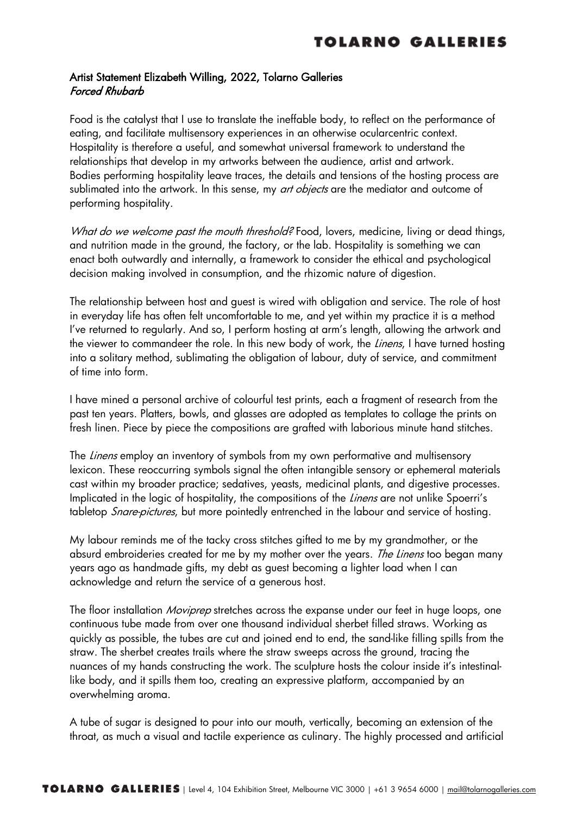## Artist Statement Elizabeth Willing, 2022, Tolarno Galleries Forced Rhubarb

Food is the catalyst that I use to translate the ineffable body, to reflect on the performance of eating, and facilitate multisensory experiences in an otherwise ocularcentric context. Hospitality is therefore a useful, and somewhat universal framework to understand the relationships that develop in my artworks between the audience, artist and artwork. Bodies performing hospitality leave traces, the details and tensions of the hosting process are sublimated into the artwork. In this sense, my *art objects* are the mediator and outcome of performing hospitality.

What do we welcome past the mouth threshold? Food, lovers, medicine, living or dead things, and nutrition made in the ground, the factory, or the lab. Hospitality is something we can enact both outwardly and internally, a framework to consider the ethical and psychological decision making involved in consumption, and the rhizomic nature of digestion.

The relationship between host and guest is wired with obligation and service. The role of host in everyday life has often felt uncomfortable to me, and yet within my practice it is a method I've returned to regularly. And so, I perform hosting at arm's length, allowing the artwork and the viewer to commandeer the role. In this new body of work, the *Linens*, I have turned hosting into a solitary method, sublimating the obligation of labour, duty of service, and commitment of time into form.

I have mined a personal archive of colourful test prints, each a fragment of research from the past ten years. Platters, bowls, and glasses are adopted as templates to collage the prints on fresh linen. Piece by piece the compositions are grafted with laborious minute hand stitches.

The *Linens* employ an inventory of symbols from my own performative and multisensory lexicon. These reoccurring symbols signal the often intangible sensory or ephemeral materials cast within my broader practice; sedatives, yeasts, medicinal plants, and digestive processes. Implicated in the logic of hospitality, the compositions of the *Linens* are not unlike Spoerri's tabletop *Snare-pictures*, but more pointedly entrenched in the labour and service of hosting.

My labour reminds me of the tacky cross stitches gifted to me by my grandmother, or the absurd embroideries created for me by my mother over the years. The Linens too began many years ago as handmade gifts, my debt as guest becoming a lighter load when I can acknowledge and return the service of a generous host.

The floor installation *Moviprep* stretches across the expanse under our feet in huge loops, one continuous tube made from over one thousand individual sherbet filled straws. Working as quickly as possible, the tubes are cut and joined end to end, the sand-like filling spills from the straw. The sherbet creates trails where the straw sweeps across the ground, tracing the nuances of my hands constructing the work. The sculpture hosts the colour inside it's intestinallike body, and it spills them too, creating an expressive platform, accompanied by an overwhelming aroma.

A tube of sugar is designed to pour into our mouth, vertically, becoming an extension of the throat, as much a visual and tactile experience as culinary. The highly processed and artificial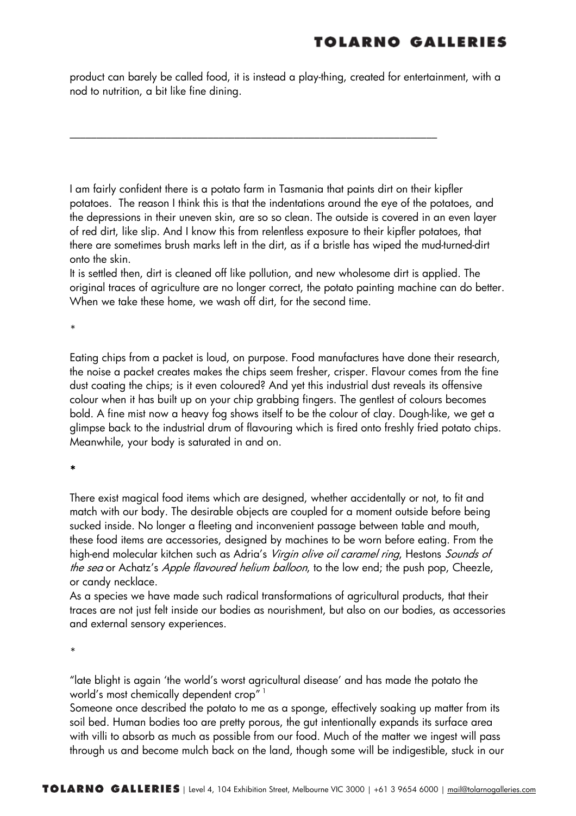product can barely be called food, it is instead a play-thing, created for entertainment, with a nod to nutrition, a bit like fine dining.

\_\_\_\_\_\_\_\_\_\_\_\_\_\_\_\_\_\_\_\_\_\_\_\_\_\_\_\_\_\_\_\_\_\_\_\_\_\_\_\_\_\_\_\_\_\_\_\_\_\_\_\_\_\_\_\_\_\_\_\_\_\_\_\_\_\_\_\_\_

I am fairly confident there is a potato farm in Tasmania that paints dirt on their kipfler potatoes. The reason I think this is that the indentations around the eye of the potatoes, and the depressions in their uneven skin, are so so clean. The outside is covered in an even layer of red dirt, like slip. And I know this from relentless exposure to their kipfler potatoes, that there are sometimes brush marks left in the dirt, as if a bristle has wiped the mud-turned-dirt onto the skin.

It is settled then, dirt is cleaned off like pollution, and new wholesome dirt is applied. The original traces of agriculture are no longer correct, the potato painting machine can do better. When we take these home, we wash off dirt, for the second time.

\*

Eating chips from a packet is loud, on purpose. Food manufactures have done their research, the noise a packet creates makes the chips seem fresher, crisper. Flavour comes from the fine dust coating the chips; is it even coloured? And yet this industrial dust reveals its offensive colour when it has built up on your chip grabbing fingers. The gentlest of colours becomes bold. A fine mist now a heavy fog shows itself to be the colour of clay. Dough-like, we get a glimpse back to the industrial drum of flavouring which is fired onto freshly fried potato chips. Meanwhile, your body is saturated in and on.

\*

There exist magical food items which are designed, whether accidentally or not, to fit and match with our body. The desirable objects are coupled for a moment outside before being sucked inside. No longer a fleeting and inconvenient passage between table and mouth, these food items are accessories, designed by machines to be worn before eating. From the high-end molecular kitchen such as Adria's Virgin olive oil caramel ring, Hestons Sounds of the sea or Achatz's Apple flavoured helium balloon, to the low end; the push pop, Cheezle, or candy necklace.

As a species we have made such radical transformations of agricultural products, that their traces are not just felt inside our bodies as nourishment, but also on our bodies, as accessories and external sensory experiences.

\*

"late blight is again 'the world's worst agricultural disease' and has made the potato the world's most chemically dependent crop" <sup>1</sup>

Someone once described the potato to me as a sponge, effectively soaking up matter from its soil bed. Human bodies too are pretty porous, the gut intentionally expands its surface area with villi to absorb as much as possible from our food. Much of the matter we ingest will pass through us and become mulch back on the land, though some will be indigestible, stuck in our